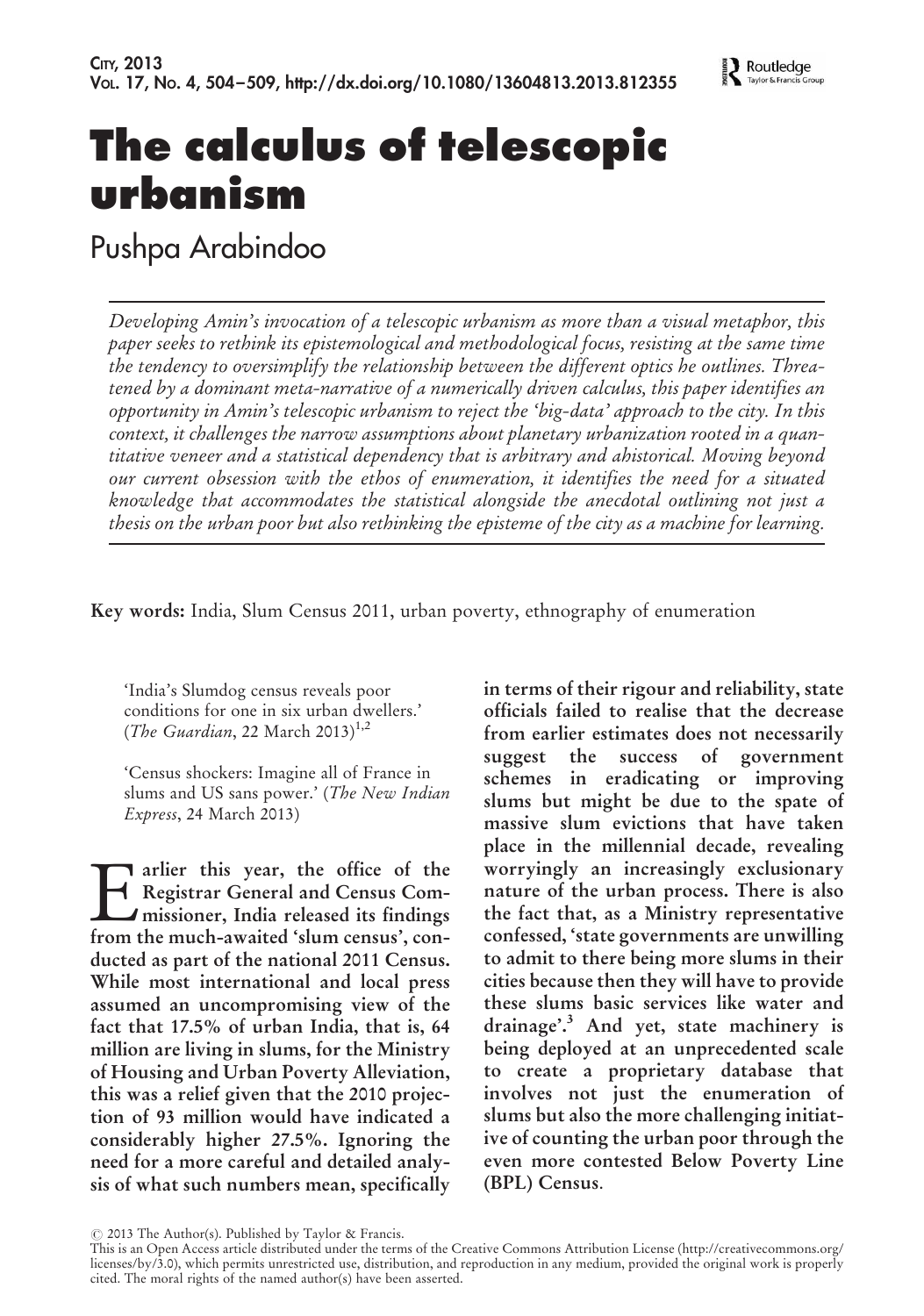## The calculus of telescopic urbanism

Pushpa Arabindoo

Developing Amin's invocation of a telescopic urbanism as more than a visual metaphor, this paper seeks to rethink its epistemological and methodological focus, resisting at the same time the tendency to oversimplify the relationship between the different optics he outlines. Threatened by a dominant meta-narrative of a numerically driven calculus, this paper identifies an opportunity in Amin's telescopic urbanism to reject the 'big-data' approach to the city. In this context, it challenges the narrow assumptions about planetary urbanization rooted in a quantitative veneer and a statistical dependency that is arbitrary and ahistorical. Moving beyond our current obsession with the ethos of enumeration, it identifies the need for a situated knowledge that accommodates the statistical alongside the anecdotal outlining not just a thesis on the urban poor but also rethinking the episteme of the city as a machine for learning.

Key words: India, Slum Census 2011, urban poverty, ethnography of enumeration

'India's Slumdog census reveals poor conditions for one in six urban dwellers.' (The Guardian, 22 March 2013)<sup>1,2</sup>

'Census shockers: Imagine all of France in slums and US sans power.' (The New Indian Express, 24 March 2013)

Farlier this year, the office of the<br>Registrar General and Census Com-<br>missioner, India released its findings<br>from the much-awaited 'slum census' con-Registrar General and Census Commissioner, India released its findings from the much-awaited 'slum census', conducted as part of the national 2011 Census. While most international and local press assumed an uncompromising view of the fact that 17.5% of urban India, that is, 64 million are living in slums, for the Ministry of Housing and Urban Poverty Alleviation, this was a relief given that the 2010 projection of 93 million would have indicated a considerably higher 27.5%. Ignoring the need for a more careful and detailed analysis of what such numbers mean, specifically in terms of their rigour and reliability, state officials failed to realise that the decrease from earlier estimates does not necessarily suggest the success of government schemes in eradicating or improving slums but might be due to the spate of massive slum evictions that have taken place in the millennial decade, revealing worryingly an increasingly exclusionary nature of the urban process. There is also the fact that, as a Ministry representative confessed, 'state governments are unwilling to admit to there being more slums in their cities because then they will have to provide these slums basic services like water and drainage'.<sup>3</sup> And yet, state machinery is being deployed at an unprecedented scale to create a proprietary database that involves not just the enumeration of slums but also the more challenging initiative of counting the urban poor through the even more contested Below Poverty Line (BPL) Census.

 $Q$  2013 The Author(s). Published by Taylor & Francis.

This is an Open Access article distributed under the terms of the Creative Commons Attribution License (http://creativecommons.org/ licenses/by/3.0), which permits unrestricted use, distribution, and reproduction in any medium, provided the original work is properly cited. The moral rights of the named author(s) have been asserted.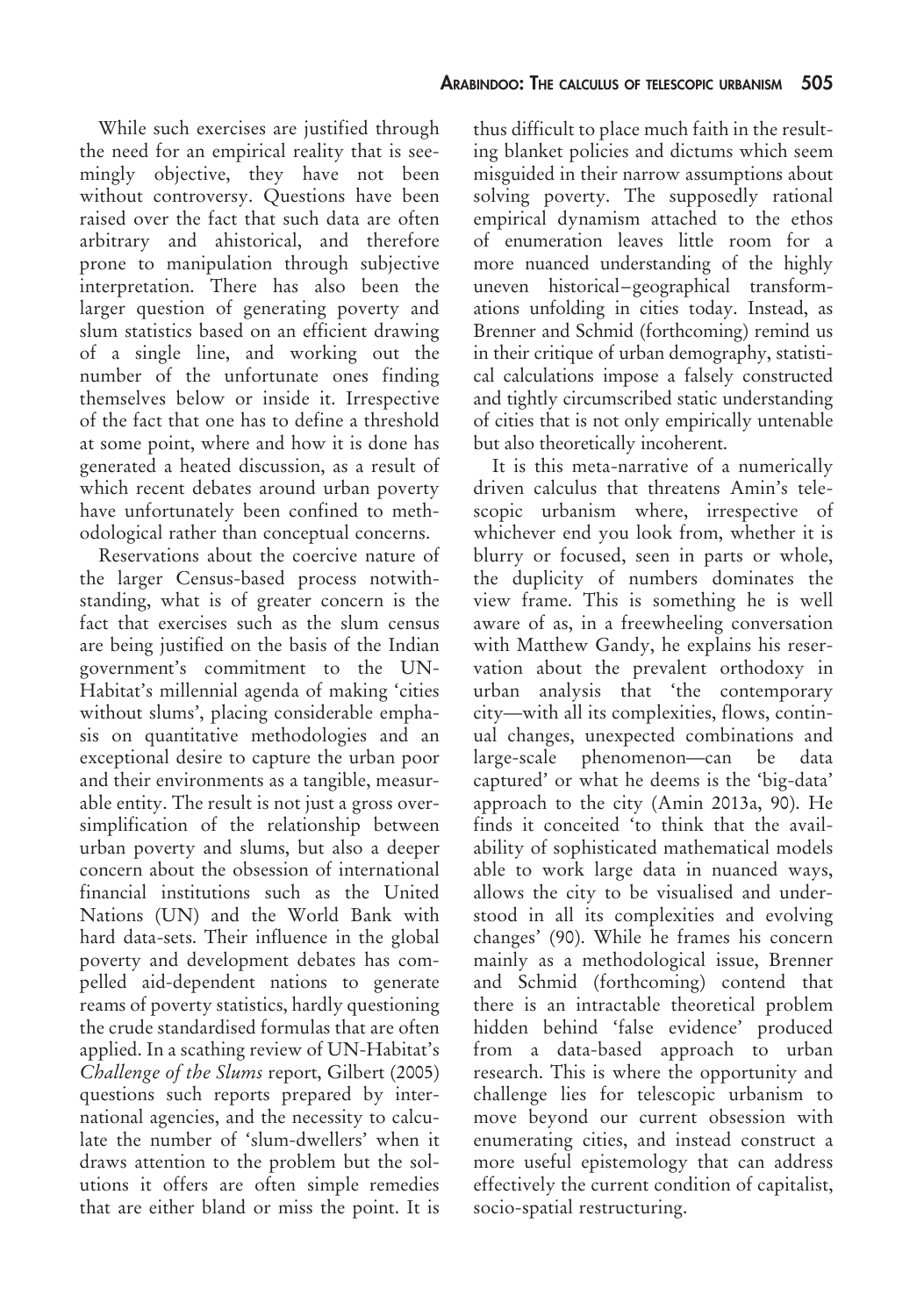While such exercises are justified through the need for an empirical reality that is seemingly objective, they have not been without controversy. Questions have been raised over the fact that such data are often arbitrary and ahistorical, and therefore prone to manipulation through subjective interpretation. There has also been the larger question of generating poverty and slum statistics based on an efficient drawing of a single line, and working out the number of the unfortunate ones finding themselves below or inside it. Irrespective of the fact that one has to define a threshold at some point, where and how it is done has generated a heated discussion, as a result of which recent debates around urban poverty have unfortunately been confined to methodological rather than conceptual concerns.

Reservations about the coercive nature of the larger Census-based process notwithstanding, what is of greater concern is the fact that exercises such as the slum census are being justified on the basis of the Indian government's commitment to the UN-Habitat's millennial agenda of making 'cities without slums', placing considerable emphasis on quantitative methodologies and an exceptional desire to capture the urban poor and their environments as a tangible, measurable entity. The result is not just a gross oversimplification of the relationship between urban poverty and slums, but also a deeper concern about the obsession of international financial institutions such as the United Nations (UN) and the World Bank with hard data-sets. Their influence in the global poverty and development debates has compelled aid-dependent nations to generate reams of poverty statistics, hardly questioning the crude standardised formulas that are often applied. In a scathing review of UN-Habitat's Challenge of the Slums report, Gilbert (2005) questions such reports prepared by international agencies, and the necessity to calculate the number of 'slum-dwellers' when it draws attention to the problem but the solutions it offers are often simple remedies that are either bland or miss the point. It is

thus difficult to place much faith in the resulting blanket policies and dictums which seem misguided in their narrow assumptions about solving poverty. The supposedly rational empirical dynamism attached to the ethos of enumeration leaves little room for a more nuanced understanding of the highly uneven historical–geographical transformations unfolding in cities today. Instead, as Brenner and Schmid (forthcoming) remind us in their critique of urban demography, statistical calculations impose a falsely constructed and tightly circumscribed static understanding of cities that is not only empirically untenable but also theoretically incoherent.

It is this meta-narrative of a numerically driven calculus that threatens Amin's telescopic urbanism where, irrespective of whichever end you look from, whether it is blurry or focused, seen in parts or whole, the duplicity of numbers dominates the view frame. This is something he is well aware of as, in a freewheeling conversation with Matthew Gandy, he explains his reservation about the prevalent orthodoxy in urban analysis that 'the contemporary city—with all its complexities, flows, continual changes, unexpected combinations and large-scale phenomenon—can be data captured' or what he deems is the 'big-data' approach to the city (Amin 2013a, 90). He finds it conceited 'to think that the availability of sophisticated mathematical models able to work large data in nuanced ways, allows the city to be visualised and understood in all its complexities and evolving changes' (90). While he frames his concern mainly as a methodological issue, Brenner and Schmid (forthcoming) contend that there is an intractable theoretical problem hidden behind 'false evidence' produced from a data-based approach to urban research. This is where the opportunity and challenge lies for telescopic urbanism to move beyond our current obsession with enumerating cities, and instead construct a more useful epistemology that can address effectively the current condition of capitalist, socio-spatial restructuring.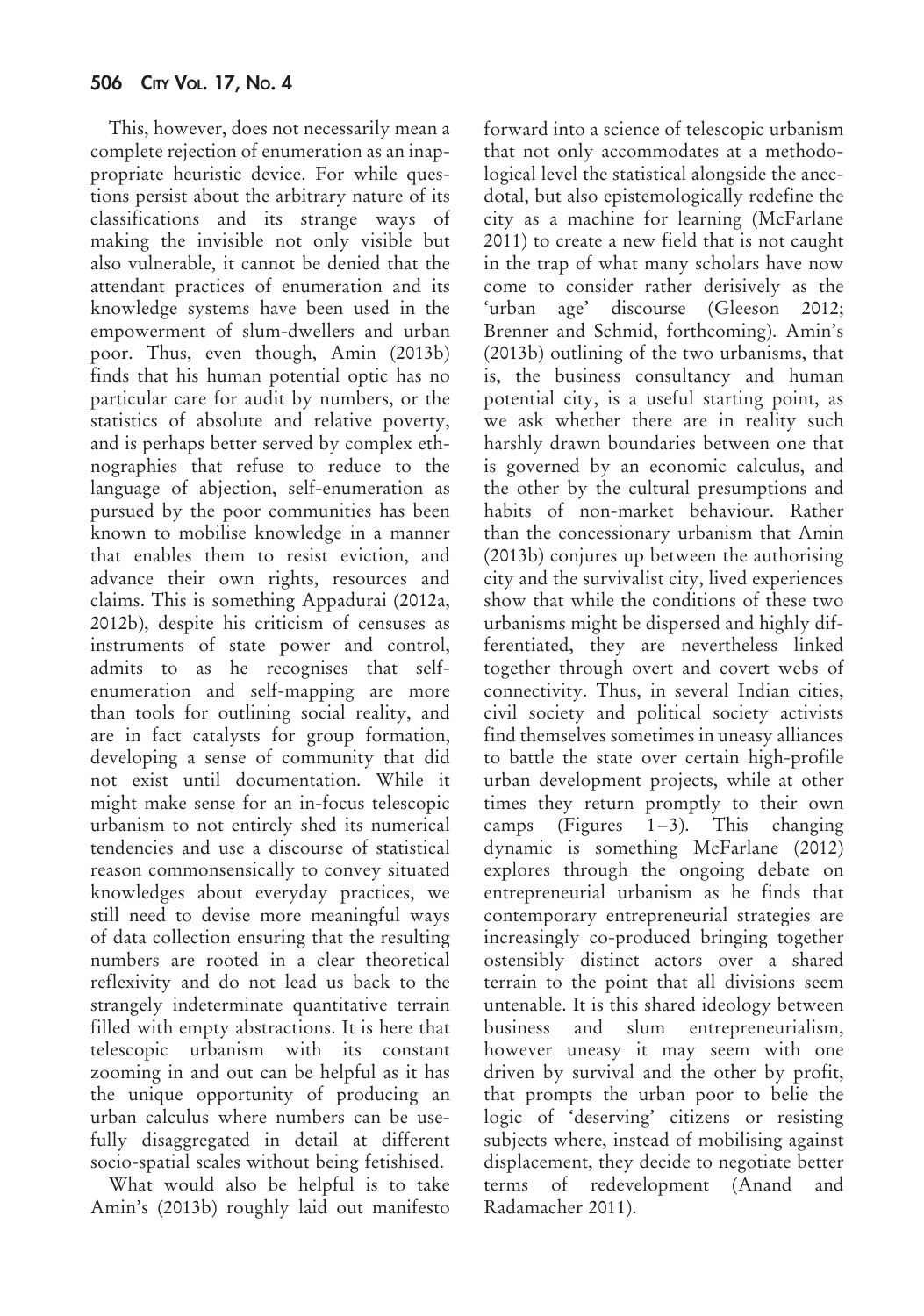This, however, does not necessarily mean a complete rejection of enumeration as an inappropriate heuristic device. For while questions persist about the arbitrary nature of its classifications and its strange ways of making the invisible not only visible but also vulnerable, it cannot be denied that the attendant practices of enumeration and its knowledge systems have been used in the empowerment of slum-dwellers and urban poor. Thus, even though, Amin (2013b) finds that his human potential optic has no particular care for audit by numbers, or the statistics of absolute and relative poverty, and is perhaps better served by complex ethnographies that refuse to reduce to the language of abjection, self-enumeration as pursued by the poor communities has been known to mobilise knowledge in a manner that enables them to resist eviction, and advance their own rights, resources and claims. This is something Appadurai (2012a, 2012b), despite his criticism of censuses as instruments of state power and control, admits to as he recognises that selfenumeration and self-mapping are more than tools for outlining social reality, and are in fact catalysts for group formation, developing a sense of community that did not exist until documentation. While it might make sense for an in-focus telescopic urbanism to not entirely shed its numerical tendencies and use a discourse of statistical reason commonsensically to convey situated knowledges about everyday practices, we still need to devise more meaningful ways of data collection ensuring that the resulting numbers are rooted in a clear theoretical reflexivity and do not lead us back to the strangely indeterminate quantitative terrain filled with empty abstractions. It is here that telescopic urbanism with its constant zooming in and out can be helpful as it has the unique opportunity of producing an urban calculus where numbers can be usefully disaggregated in detail at different socio-spatial scales without being fetishised.

What would also be helpful is to take Amin's (2013b) roughly laid out manifesto forward into a science of telescopic urbanism that not only accommodates at a methodological level the statistical alongside the anecdotal, but also epistemologically redefine the city as a machine for learning (McFarlane 2011) to create a new field that is not caught in the trap of what many scholars have now come to consider rather derisively as the 'urban age' discourse (Gleeson 2012; Brenner and Schmid, forthcoming). Amin's (2013b) outlining of the two urbanisms, that is, the business consultancy and human potential city, is a useful starting point, as we ask whether there are in reality such harshly drawn boundaries between one that is governed by an economic calculus, and the other by the cultural presumptions and habits of non-market behaviour. Rather than the concessionary urbanism that Amin (2013b) conjures up between the authorising city and the survivalist city, lived experiences show that while the conditions of these two urbanisms might be dispersed and highly differentiated, they are nevertheless linked together through overt and covert webs of connectivity. Thus, in several Indian cities, civil society and political society activists find themselves sometimes in uneasy alliances to battle the state over certain high-profile urban development projects, while at other times they return promptly to their own camps (Figures  $1-3$ ). This changing dynamic is something McFarlane (2012) explores through the ongoing debate on entrepreneurial urbanism as he finds that contemporary entrepreneurial strategies are increasingly co-produced bringing together ostensibly distinct actors over a shared terrain to the point that all divisions seem untenable. It is this shared ideology between business and slum entrepreneurialism, however uneasy it may seem with one driven by survival and the other by profit, that prompts the urban poor to belie the logic of 'deserving' citizens or resisting subjects where, instead of mobilising against displacement, they decide to negotiate better terms of redevelopment (Anand and Radamacher 2011).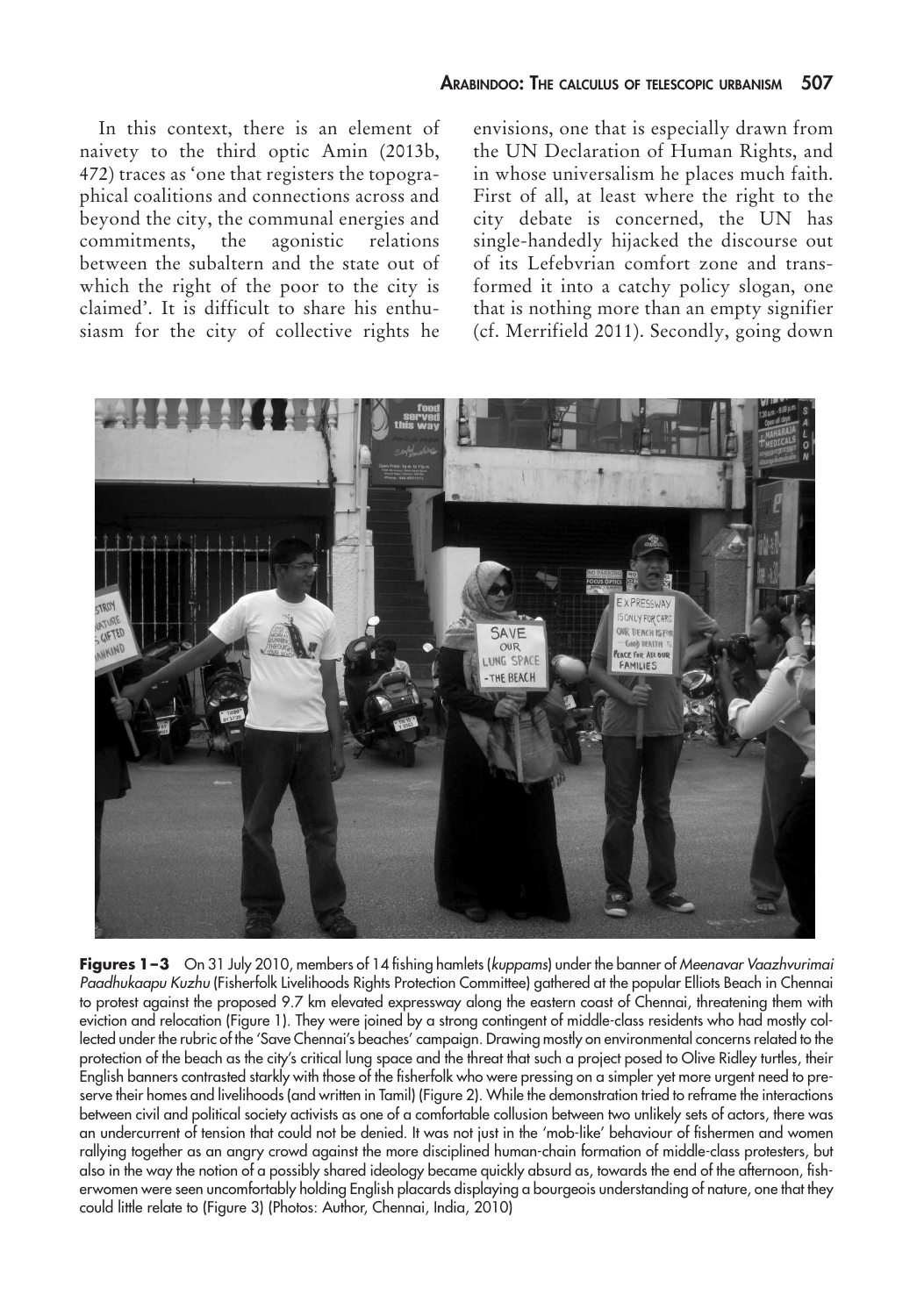In this context, there is an element of naivety to the third optic Amin (2013b, 472) traces as 'one that registers the topographical coalitions and connections across and beyond the city, the communal energies and commitments, the agonistic relations between the subaltern and the state out of which the right of the poor to the city is claimed'. It is difficult to share his enthusiasm for the city of collective rights he envisions, one that is especially drawn from the UN Declaration of Human Rights, and in whose universalism he places much faith. First of all, at least where the right to the city debate is concerned, the UN has single-handedly hijacked the discourse out of its Lefebvrian comfort zone and transformed it into a catchy policy slogan, one that is nothing more than an empty signifier (cf. Merrifield 2011). Secondly, going down



Figures 1–3 On 31 July 2010, members of 14 fishing hamlets (kuppams) under the banner of Meenavar Vaazhvurimai Paadhukaapu Kuzhu (Fisherfolk Livelihoods Rights Protection Committee) gathered at the popular Elliots Beach in Chennai to protest against the proposed 9.7 km elevated expressway along the eastern coast of Chennai, threatening them with eviction and relocation (Figure 1). They were joined by a strong contingent of middle-class residents who had mostly collected under the rubric of the 'Save Chennai's beaches' campaign. Drawing mostly on environmental concerns related to the protection of the beach as the city's critical lung space and the threat that such a project posed to Olive Ridley turtles, their English banners contrasted starkly with those of the fisherfolk who were pressing on a simpler yet more urgent need to preserve their homes and livelihoods (and written in Tamil) (Figure 2). While the demonstration tried to reframe the interactions between civil and political society activists as one of a comfortable collusion between two unlikely sets of actors, there was an undercurrent of tension that could not be denied. It was not just in the 'mob-like' behaviour of fishermen and women rallying together as an angry crowd against the more disciplined human-chain formation of middle-class protesters, but also in the way the notion of a possibly shared ideology became quickly absurd as, towards the end of the afternoon, fisherwomen were seen uncomfortably holding English placards displaying a bourgeois understanding of nature, one that they could little relate to (Figure 3) (Photos: Author, Chennai, India, 2010)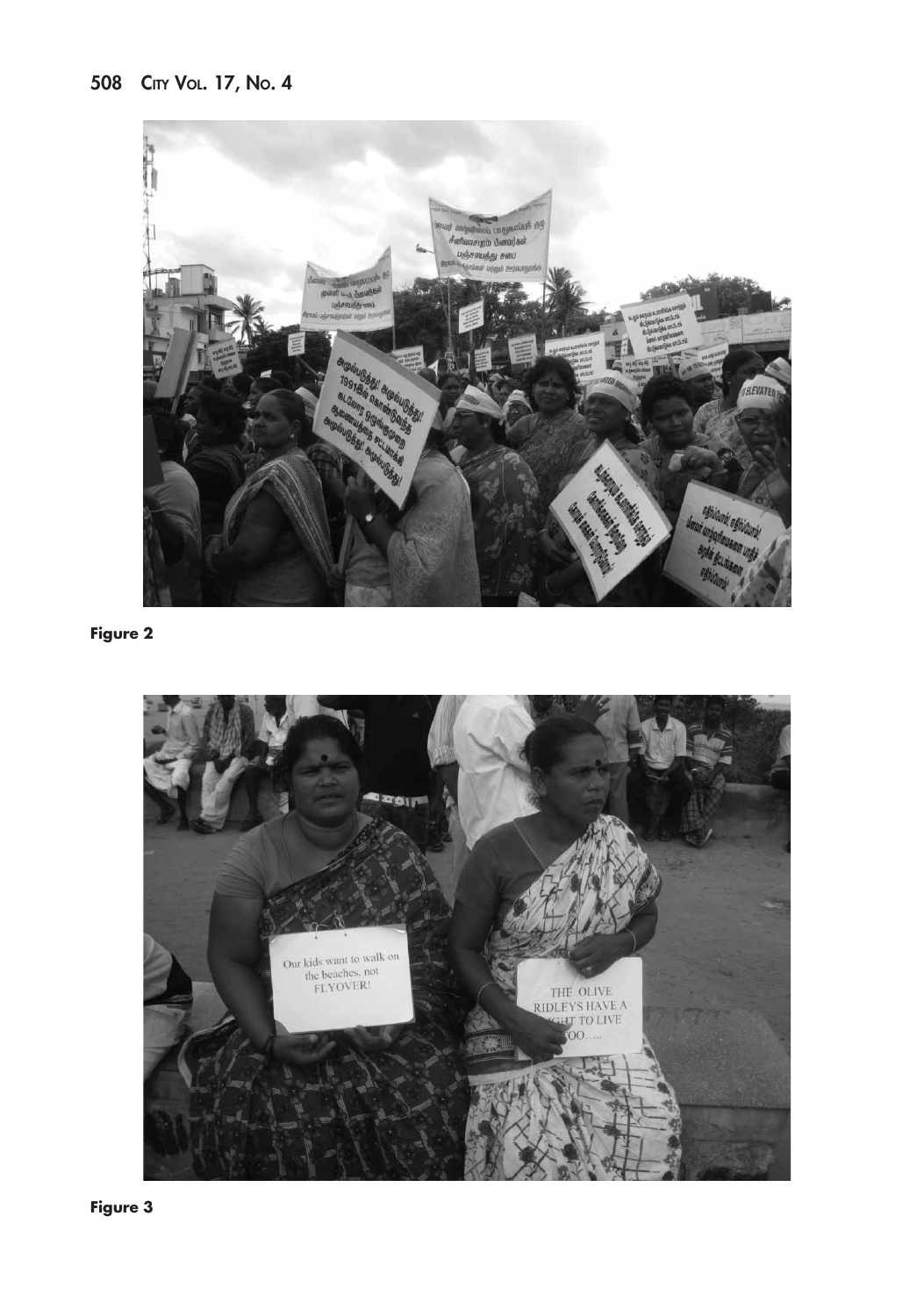

Figure 2



Figure 3